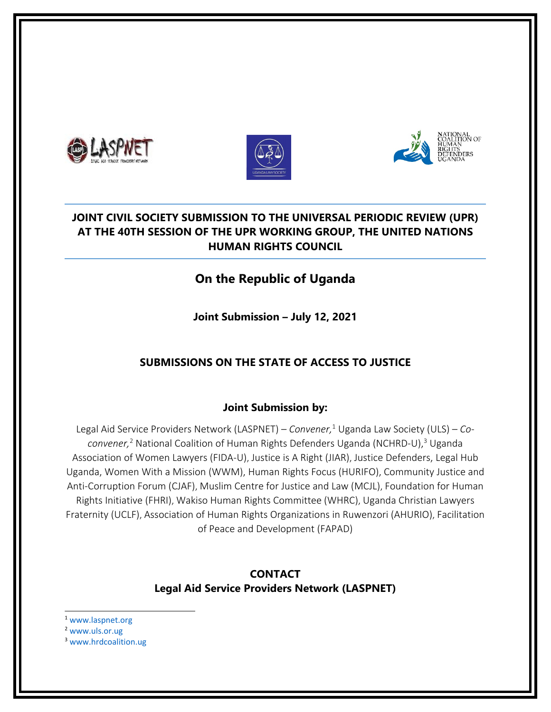





## **JOINT CIVIL SOCIETY SUBMISSION TO THE UNIVERSAL PERIODIC REVIEW (UPR) AT THE 40TH SESSION OF THE UPR WORKING GROUP, THE UNITED NATIONS HUMAN RIGHTS COUNCIL**

# **On the Republic of Uganda**

**Joint Submission – July 12, 2021**

## **SUBMISSIONS ON THE STATE OF ACCESS TO JUSTICE**

### **Joint Submission by:**

Legal Aid Service Providers Network (LASPNET) – *Convener,* 1 Uganda Law Society (ULS) – *Coconvener,* 2 National Coalition of Human Rights Defenders Uganda (NCHRD-U), 3 Uganda Association of Women Lawyers (FIDA-U), Justice is A Right (JIAR), Justice Defenders, Legal Hub Uganda, Women With <sup>a</sup> Mission (WWM), Human Rights Focus (HURIFO), Community Justice and Anti-Corruption Forum (CJAF), Muslim Centre for Justice and Law (MCJL), Foundation for Human Rights Initiative (FHRI), Wakiso Human Rights Committee (WHRC), Uganda Christian Lawyers Fraternity (UCLF), Association of Human Rights Organizations in Ruwenzori (AHURIO), Facilitation of Peace and Development (FAPAD)

### **CONTACT Legal Aid Service Providers Network (LASPNET)**

- 1 [www.laspnet.org](http://www.laspnet.org)
- 2 [www.uls.or.ug](http://www.uls.or.ug)
- <sup>3</sup> [www.hrdcoalition.ug](http://www.hrdcoalition.ug)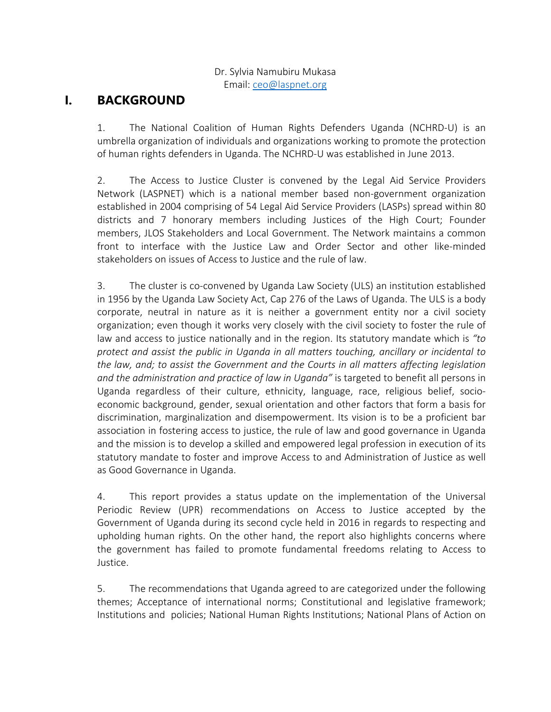#### Dr. Sylvia Namubiru Mukasa Email: [ceo@laspnet.org](mailto:ceo@laspnet.org)

# **I. BACKGROUND**

1. The National Coalition of Human Rights Defenders Uganda (NCHRD-U) is an umbrella organization of individuals and organizations working to promote the protection of human rights defenders in Uganda. The NCHRD-U was established in June 2013.

2. The Access to Justice Cluster is convened by the Legal Aid Service Providers Network (LASPNET) which is <sup>a</sup> national member based non-government organization established in 2004 comprising of 54 Legal Aid Service Providers (LASPs) spread within 80 districts and 7 honorary members including Justices of the High Court; Founder members, JLOS Stakeholders and Local Government. The Network maintains <sup>a</sup> common front to interface with the Justice Law and Order Sector and other like-minded stakeholders on issues of Access to Justice and the rule of law.

3. The cluster is co-convened by Uganda Law Society (ULS) an institution established in 1956 by the Uganda Law Society Act, Cap 276 of the Laws of Uganda. The ULS is <sup>a</sup> body corporate, neutral in nature as it is neither <sup>a</sup> government entity nor <sup>a</sup> civil society organization; even though it works very closely with the civil society to foster the rule of law and access to justice nationally and in the region. Its statutory mandate which is *"to protect and assist the public in Uganda in all matters touching, ancillary or incidental to the law, and; to assist the Government and the Courts in all matters affecting legislation and the administration and practice of law in Uganda"* is targeted to benefit all persons in Uganda regardless of their culture, ethnicity, language, race, religious belief, socioeconomic background, gender, sexual orientation and other factors that form <sup>a</sup> basis for discrimination, marginalization and disempowerment. Its vision is to be <sup>a</sup> proficient bar association in fostering access to justice, the rule of law and good governance in Uganda and the mission is to develop <sup>a</sup> skilled and empowered legal profession in execution of its statutory mandate to foster and improve Access to and Administration of Justice as well as Good Governance in Uganda.

4. This report provides <sup>a</sup> status update on the implementation of the Universal Periodic Review (UPR) recommendations on Access to Justice accepted by the Government of Uganda during its second cycle held in 2016 in regards to respecting and upholding human rights. On the other hand, the report also highlights concerns where the government has failed to promote fundamental freedoms relating to Access to Justice.

5. The recommendations that Uganda agreed to are categorized under the following themes; Acceptance of international norms; Constitutional and legislative framework; Institutions and policies; National Human Rights Institutions; National Plans of Action on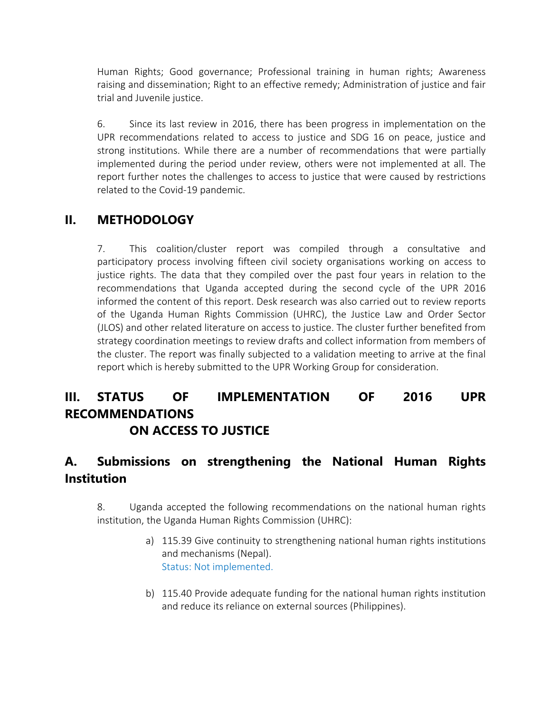Human Rights; Good governance; Professional training in human rights; Awareness raising and dissemination; Right to an effective remedy; Administration of justice and fair trial and Juvenile justice.

6. Since its last review in 2016, there has been progress in implementation on the UPR recommendations related to access to justice and SDG 16 on peace, justice and strong institutions. While there are <sup>a</sup> number of recommendations that were partially implemented during the period under review, others were not implemented at all. The report further notes the challenges to access to justice that were caused by restrictions related to the Covid-19 pandemic.

# **II. METHODOLOGY**

7. This coalition/cluster report was compiled through <sup>a</sup> consultative and participatory process involving fifteen civil society organisations working on access to justice rights. The data that they compiled over the past four years in relation to the recommendations that Uganda accepted during the second cycle of the UPR 2016 informed the content of this report. Desk research was also carried out to review reports of the Uganda Human Rights Commission (UHRC), the Justice Law and Order Sector (JLOS) and other related literature on access to justice. The cluster further benefited from strategy coordination meetings to review drafts and collect information from members of the cluster. The report was finally subjected to <sup>a</sup> validation meeting to arrive at the final report which is hereby submitted to the UPR Working Group for consideration.

# **III. STATUS OF IMPLEMENTATION OF 2016 UPR RECOMMENDATIONS ON ACCESS TO JUSTICE**

# **A. Submissions on strengthening the National Human Rights Institution**

8. Uganda accepted the following recommendations on the national human rights institution, the Uganda Human Rights Commission (UHRC):

- a) 115.39 Give continuity to strengthening national human rights institutions and mechanisms (Nepal). Status: Not implemented.
- b) 115.40 Provide adequate funding for the national human rights institution and reduce its reliance on external sources (Philippines).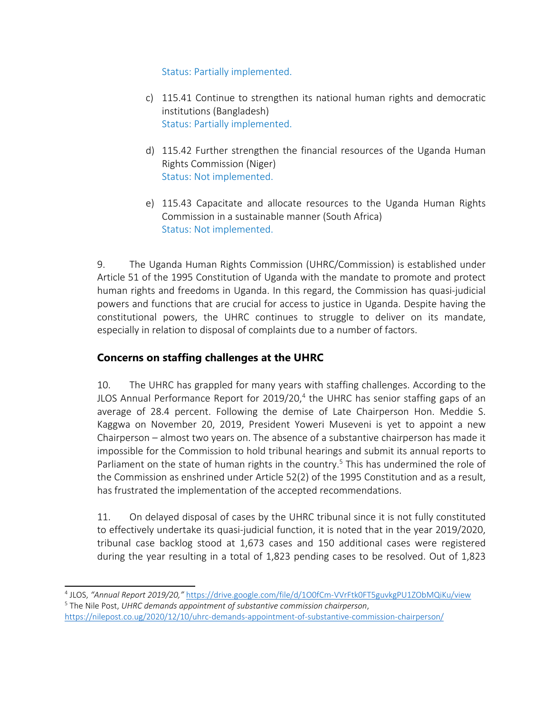Status: Partially implemented.

- c) 115.41 Continue to strengthen its national human rights and democratic institutions (Bangladesh) Status: Partially implemented.
- d) 115.42 Further strengthen the financial resources of the Uganda Human Rights Commission (Niger) Status: Not implemented.
- e) 115.43 Capacitate and allocate resources to the Uganda Human Rights Commission in <sup>a</sup> sustainable manner (South Africa) Status: Not implemented.

9. The Uganda Human Rights Commission (UHRC/Commission) is established under Article 51 of the 1995 Constitution of Uganda with the mandate to promote and protect human rights and freedoms in Uganda. In this regard, the Commission has quasi-judicial powers and functions that are crucial for access to justice in Uganda. Despite having the constitutional powers, the UHRC continues to struggle to deliver on its mandate, especially in relation to disposal of complaints due to <sup>a</sup> number of factors.

## **Concerns on staffing challenges at the UHRC**

10. The UHRC has grappled for many years with staffing challenges. According to the JLOS Annual Performance Report for 2019/20,<sup>4</sup> the UHRC has senior staffing gaps of an average of 28.4 percent. Following the demise of Late Chairperson Hon. Meddie S. Kaggwa on November 20, 2019, President Yoweri Museveni is yet to appoint <sup>a</sup> new Chairperson – almost two years on. The absence of <sup>a</sup> substantive chairperson has made it impossible for the Commission to hold tribunal hearings and submit its annual reports to Parliament on the state of human rights in the country.<sup>5</sup> This has undermined the role of the Commission as enshrined under Article 52(2) of the 1995 Constitution and as <sup>a</sup> result, has frustrated the implementation of the accepted recommendations.

11. On delayed disposal of cases by the UHRC tribunal since it is not fully constituted to effectively undertake its quasi-judicial function, it is noted that in the year 2019/2020, tribunal case backlog stood at 1,673 cases and 150 additional cases were registered during the year resulting in <sup>a</sup> total of 1,823 pending cases to be resolved. Out of 1,823

<sup>4</sup> JLOS, *"Annual Report 2019/20,"* <https://drive.google.com/file/d/1O0fCm-VVrFtk0FT5guvkgPU1ZObMQiKu/view> 5 The Nile Post, *UHRC demands appointment of substantive commission chairperson*, <https://nilepost.co.ug/2020/12/10/uhrc-demands-appointment-of-substantive-commission-chairperson/>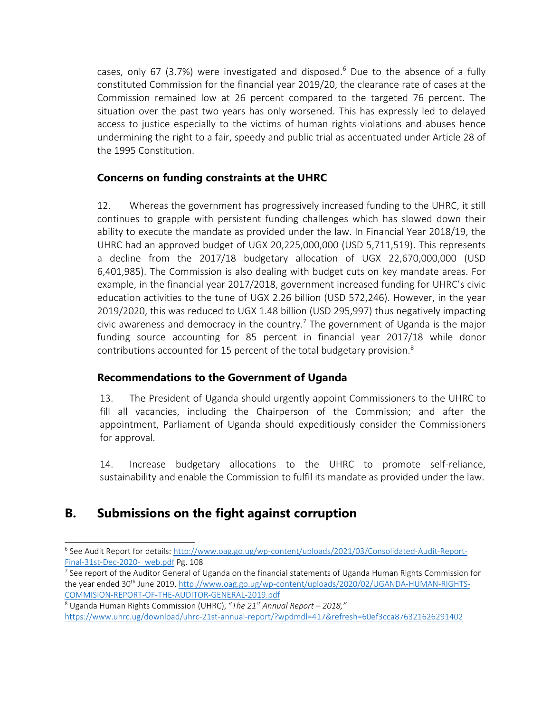cases, only 67 (3.7%) were investigated and disposed. 6 Due to the absence of <sup>a</sup> fully constituted Commission for the financial year 2019/20, the clearance rate of cases at the Commission remained low at 26 percent compared to the targeted 76 percent. The situation over the past two years has only worsened. This has expressly led to delayed access to justice especially to the victims of human rights violations and abuses hence undermining the right to <sup>a</sup> fair, speedy and public trial as accentuated under Article 28 of the 1995 Constitution.

### **Concerns on funding constraints at the UHRC**

12. Whereas the government has progressively increased funding to the UHRC, it still continues to grapple with persistent funding challenges which has slowed down their ability to execute the mandate as provided under the law. In Financial Year 2018/19, the UHRC had an approved budget of UGX 20,225,000,000 (USD 5,711,519). This represents <sup>a</sup> decline from the 2017/18 budgetary allocation of UGX 22,670,000,000 (USD 6,401,985). The Commission is also dealing with budget cuts on key mandate areas. For example, in the financial year 2017/2018, government increased funding for UHRC'<sup>s</sup> civic education activities to the tune of UGX 2.26 billion (USD 572,246). However, in the year 2019/2020, this was reduced to UGX 1.48 billion (USD 295,997) thus negatively impacting civic awareness and democracy in the country.<sup>7</sup> The government of Uganda is the major funding source accounting for 85 percent in financial year 2017/18 while donor contributions accounted for 15 percent of the total budgetary provision. $^{\rm 8}$ 

### **Recommendations to the Government of Uganda**

13. The President of Uganda should urgently appoint Commissioners to the UHRC to fill all vacancies, including the Chairperson of the Commission; and after the appointment, Parliament of Uganda should expeditiously consider the Commissioners for approval.

14. Increase budgetary allocations to the UHRC to promote self-reliance, sustainability and enable the Commission to fulfil its mandate as provided under the law.

# **B. Submissions on the fight against corruption**

4

<sup>6</sup> See Audit Report for details: [http://www.oag.go.ug/wp-content/uploads/2021/03/Consolidated-Audit-Report-](http://www.oag.go.ug/wp-content/uploads/2021/03/Consolidated-Audit-Report-Final-31st-Dec-2020-_web.pdf)Final-31st-Dec-2020- web.pdf Pg. 108

<sup>7</sup> See report of the Auditor General of Uganda on the financial statements of Uganda Human Rights Commission for the year ended 30<sup>th</sup> June 2019, <u>http://www.oag.go.ug/wp-content/uploads/2020/02/UGANDA-HUMAN-RIGHTS-</u> [COMMISION-REPORT-OF-THE-AUDITOR-GENERAL-2019.pdf](http://www.oag.go.ug/wp-content/uploads/2020/02/UGANDA-HUMAN-RIGHTS-COMMISION-REPORT-OF-THE-AUDITOR-GENERAL-2019.pdf)

<sup>8</sup> Uganda Human Rights Commission (UHRC), "*The 21st Annual Report – 2018,"* <https://www.uhrc.ug/download/uhrc-21st-annual-report/?wpdmdl=417&refresh=60ef3cca876321626291402>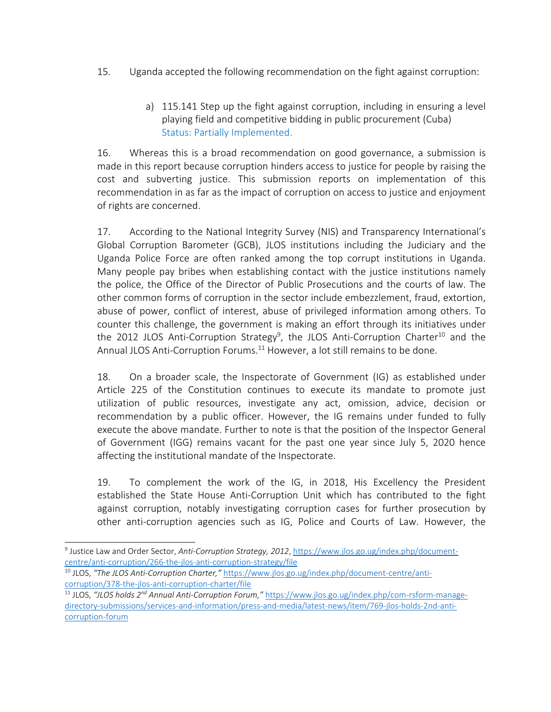- 15. Uganda accepted the following recommendation on the fight against corruption:
	- a) 115.141 Step up the fight against corruption, including in ensuring <sup>a</sup> level playing field and competitive bidding in public procurement (Cuba) Status: Partially Implemented.

16. Whereas this is <sup>a</sup> broad recommendation on good governance, <sup>a</sup> submission is made in this report because corruption hinders access to justice for people by raising the cost and subverting justice. This submission reports on implementation of this recommendation in as far as the impact of corruption on access to justice and enjoyment of rights are concerned.

17. According to the National Integrity Survey (NIS) and Transparency International'<sup>s</sup> Global Corruption Barometer (GCB), JLOS institutions including the Judiciary and the Uganda Police Force are often ranked among the top corrupt institutions in Uganda. Many people pay bribes when establishing contact with the justice institutions namely the police, the Office of the Director of Public Prosecutions and the courts of law. The other common forms of corruption in the sector include embezzlement, fraud, extortion, abuse of power, conflict of interest, abuse of privileged information among others. To counter this challenge, the government is making an effort through its initiatives under the 2012 JLOS Anti-Corruption Strategy<sup>9</sup>, the JLOS Anti-Corruption Charter<sup>10</sup> and the Annual JLOS Anti-Corruption Forums.<sup>11</sup> However, a lot still remains to be done.

18. On <sup>a</sup> broader scale, the Inspectorate of Government (IG) as established under Article 225 of the Constitution continues to execute its mandate to promote just utilization of public resources, investigate any act, omission, advice, decision or recommendation by <sup>a</sup> public officer. However, the IG remains under funded to fully execute the above mandate. Further to note is that the position of the Inspector General of Government (IGG) remains vacant for the past one year since July 5, 2020 hence affecting the institutional mandate of the Inspectorate.

19. To complement the work of the IG, in 2018, His Excellency the President established the State House Anti-Corruption Unit which has contributed to the fight against corruption, notably investigating corruption cases for further prosecution by other anti-corruption agencies such as IG, Police and Courts of Law. However, the

<sup>9</sup> Justice Law and Order Sector, *Anti-Corruption Strategy, 2012*, [https://www.jlos.go.ug/index.php/document](https://www.jlos.go.ug/index.php/document-centre/anti-corruption/266-the-jlos-anti-corruption-strategy/file)[centre/anti-corruption/266-the-jlos-anti-corruption-strategy/file](https://www.jlos.go.ug/index.php/document-centre/anti-corruption/266-the-jlos-anti-corruption-strategy/file)

<sup>10</sup> JLOS, *"The JLOS Anti-Corruption Charter,"* [https://www.jlos.go.ug/index.php/document-centre/anti](https://www.jlos.go.ug/index.php/document-centre/anti-corruption/378-the-jlos-anti-corruption-charter/file)[corruption/378-the-jlos-anti-corruption-charter/file](https://www.jlos.go.ug/index.php/document-centre/anti-corruption/378-the-jlos-anti-corruption-charter/file)

<sup>11</sup> JLOS, *"JLOS holds <sup>2</sup>nd Annual Anti-Corruption Forum,"* [https://www.jlos.go.ug/index.php/com-rsform-manage](https://www.jlos.go.ug/index.php/com-rsform-manage-directory-submissions/services-and-information/press-and-media/latest-news/item/769-jlos-holds-2nd-anti-corruption-forum)[directory-submissions/services-and-information/press-and-media/latest-news/item/769-jlos-holds-2nd-anti](https://www.jlos.go.ug/index.php/com-rsform-manage-directory-submissions/services-and-information/press-and-media/latest-news/item/769-jlos-holds-2nd-anti-corruption-forum)[corruption-forum](https://www.jlos.go.ug/index.php/com-rsform-manage-directory-submissions/services-and-information/press-and-media/latest-news/item/769-jlos-holds-2nd-anti-corruption-forum)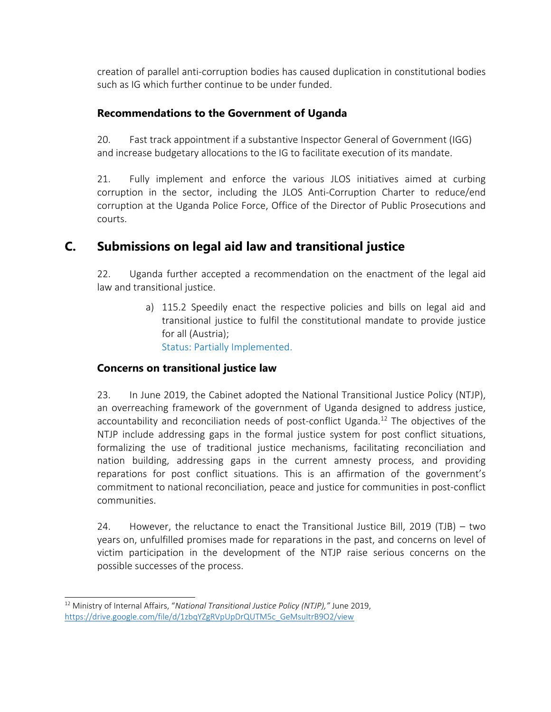creation of parallel anti-corruption bodies has caused duplication in constitutional bodies such as IG which further continue to be under funded.

### **Recommendations to the Government of Uganda**

20. Fast track appointment if <sup>a</sup> substantive Inspector General of Government (IGG) and increase budgetary allocations to the IG to facilitate execution of its mandate.

21. Fully implement and enforce the various JLOS initiatives aimed at curbing corruption in the sector, including the JLOS Anti-Corruption Charter to reduce/end corruption at the Uganda Police Force, Office of the Director of Public Prosecutions and courts.

# **C. Submissions on legal aid law and transitional justice**

22. Uganda further accepted <sup>a</sup> recommendation on the enactment of the legal aid law and transitional justice.

> a) 115.2 Speedily enact the respective policies and bills on legal aid and transitional justice to fulfil the constitutional mandate to provide justice for all (Austria);

Status: Partially Implemented.

### **Concerns on transitional justice law**

23. In June 2019, the Cabinet adopted the National Transitional Justice Policy (NTJP), an overreaching framework of the government of Uganda designed to address justice, accountability and reconciliation needs of post-conflict Uganda. 12 The objectives of the NTJP include addressing gaps in the formal justice system for post conflict situations, formalizing the use of traditional justice mechanisms, facilitating reconciliation and nation building, addressing gaps in the current amnesty process, and providing reparations for post conflict situations. This is an affirmation of the government'<sup>s</sup> commitment to national reconciliation, peace and justice for communities in post-conflict communities.

24. However, the reluctance to enact the Transitional Justice Bill, 2019 (TJB) – two years on, unfulfilled promises made for reparations in the past, and concerns on level of victim participation in the development of the NTJP raise serious concerns on the possible successes of the process.

<sup>12</sup> Ministry of Internal Affairs, "*National Transitional Justice Policy (NTJP),"* June 2019, [https://drive.google.com/file/d/1zbqYZgRVpUpDrQUTM5c\\_GeMsuItrB9O2/view](https://drive.google.com/file/d/1zbqYZgRVpUpDrQUTM5c_GeMsuItrB9O2/view)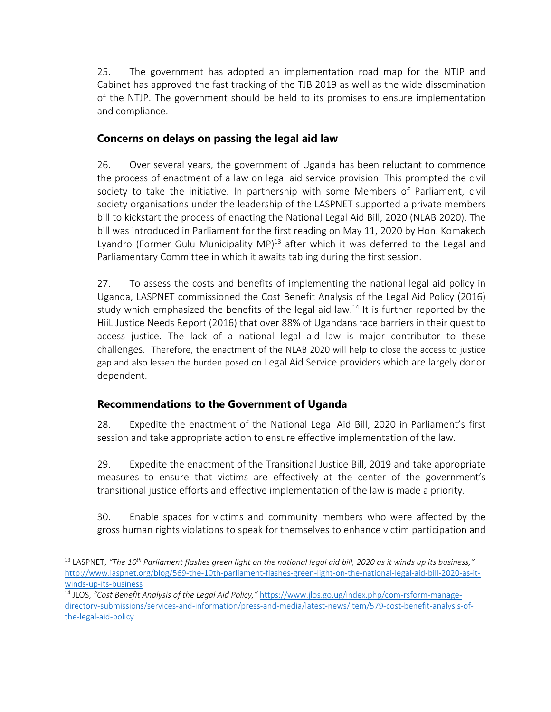25. The government has adopted an implementation road map for the NTJP and Cabinet has approved the fast tracking of the TJB 2019 as well as the wide dissemination of the NTJP. The government should be held to its promises to ensure implementation and compliance.

### **Concerns on delays on passing the legal aid law**

26. Over several years, the government of Uganda has been reluctant to commence the process of enactment of <sup>a</sup> law on legal aid service provision. This prompted the civil society to take the initiative. In partnership with some Members of Parliament, civil society organisations under the leadership of the LASPNET supported <sup>a</sup> private members bill to kickstart the process of enacting the National Legal Aid Bill, 2020 (NLAB 2020). The bill was introduced in Parliament for the first reading on May 11, 2020 by Hon. Komakech Lyandro (Former Gulu Municipality MP)<sup>13</sup> after which it was deferred to the Legal and Parliamentary Committee in which it awaits tabling during the first session.

27. To assess the costs and benefits of implementing the national legal aid policy in Uganda, LASPNET commissioned the Cost Benefit Analysis of the Legal Aid Policy (2016) study which emphasized the benefits of the legal aid law.<sup>14</sup> It is further reported by the HiiL Justice Needs Report (2016) that over 88% of Ugandans face barriers in their quest to access justice. The lack of <sup>a</sup> national legal aid law is major contributor to these challenges. Therefore, the enactment of the NLAB <sup>2020</sup> will help to close the access to justice gap and also lessen the burden posed on Legal Aid Service providers which are largely donor dependent.

### **Recommendations to the Government of Uganda**

28. Expedite the enactment of the National Legal Aid Bill, 2020 in Parliament'<sup>s</sup> first session and take appropriate action to ensure effective implementation of the law.

29. Expedite the enactment of the Transitional Justice Bill, 2019 and take appropriate measures to ensure that victims are effectively at the center of the government'<sup>s</sup> transitional justice efforts and effective implementation of the law is made <sup>a</sup> priority.

30. Enable spaces for victims and community members who were affected by the gross human rights violations to speak for themselves to enhance victim participation and

 $^{13}$  LASPNET, "The 10<sup>th</sup> Parliament flashes green light on the national legal aid bill, 2020 as it winds up its business," [http://www.laspnet.org/blog/569-the-10th-parliament-flashes-green-light-on-the-national-legal-aid-bill-2020-as-it](http://www.laspnet.org/blog/569-the-10th-parliament-flashes-green-light-on-the-national-legal-aid-bill-2020-as-it-winds-up-its-business)[winds-up-its-business](http://www.laspnet.org/blog/569-the-10th-parliament-flashes-green-light-on-the-national-legal-aid-bill-2020-as-it-winds-up-its-business)

<sup>14</sup> JLOS, *"Cost Benefit Analysis of the Legal Aid Policy,"* [https://www.jlos.go.ug/index.php/com-rsform-manage](https://www.jlos.go.ug/index.php/com-rsform-manage-directory-submissions/services-and-information/press-and-media/latest-news/item/579-cost-benefit-analysis-of-the-legal-aid-policy)[directory-submissions/services-and-information/press-and-media/latest-news/item/579-cost-benefit-analysis-of](https://www.jlos.go.ug/index.php/com-rsform-manage-directory-submissions/services-and-information/press-and-media/latest-news/item/579-cost-benefit-analysis-of-the-legal-aid-policy)[the-legal-aid-policy](https://www.jlos.go.ug/index.php/com-rsform-manage-directory-submissions/services-and-information/press-and-media/latest-news/item/579-cost-benefit-analysis-of-the-legal-aid-policy)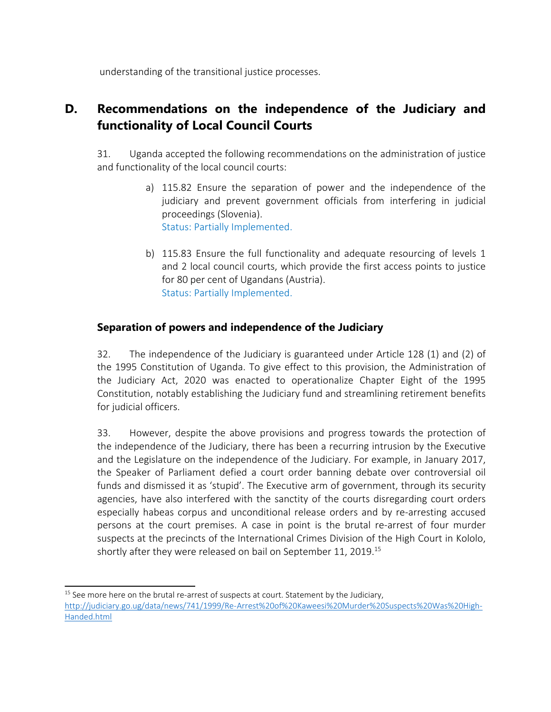understanding of the transitional justice processes.

# **D. Recommendations on the independence of the Judiciary and functionality of Local Council Courts**

31. Uganda accepted the following recommendations on the administration of justice and functionality of the local council courts:

- a) 115.82 Ensure the separation of power and the independence of the judiciary and prevent government officials from interfering in judicial proceedings (Slovenia). Status: Partially Implemented.
- b) 115.83 Ensure the full functionality and adequate resourcing of levels 1 and 2 local council courts, which provide the first access points to justice for 80 per cent of Ugandans (Austria). Status: Partially Implemented.

### **Separation of powers and independence of the Judiciary**

32. The independence of the Judiciary is guaranteed under Article 128 (1) and (2) of the 1995 Constitution of Uganda. To give effect to this provision, the Administration of the Judiciary Act, 2020 was enacted to operationalize Chapter Eight of the 1995 Constitution, notably establishing the Judiciary fund and streamlining retirement benefits for judicial officers.

33. However, despite the above provisions and progress towards the protection of the independence of the Judiciary, there has been <sup>a</sup> recurring intrusion by the Executive and the Legislature on the independence of the Judiciary. For example, in January 2017, the Speaker of Parliament defied <sup>a</sup> court order banning debate over controversial oil funds and dismissed it as 'stupid'. The Executive arm of government, through its security agencies, have also interfered with the sanctity of the courts disregarding court orders especially habeas corpus and unconditional release orders and by re-arresting accused persons at the court premises. A case in point is the brutal re-arrest of four murder suspects at the precincts of the International Crimes Division of the High Court in Kololo, shortly after they were released on bail on September 11, 2019. 15

8

<sup>&</sup>lt;sup>15</sup> See more here on the brutal re-arrest of suspects at court. Statement by the Judiciary, [http://judiciary.go.ug/data/news/741/1999/Re-Arrest%20of%20Kaweesi%20Murder%20Suspects%20Was%20High-](http://judiciary.go.ug/data/news/741/1999/Re-Arrest%20of%20Kaweesi%20Murder%20Suspects%20Was%20High-Handed.html)[Handed.html](http://judiciary.go.ug/data/news/741/1999/Re-Arrest%20of%20Kaweesi%20Murder%20Suspects%20Was%20High-Handed.html)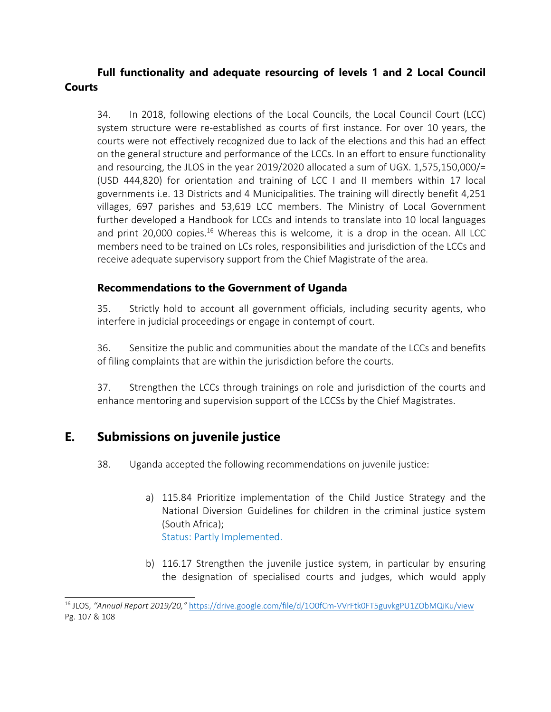## **Full functionality and adequate resourcing of levels 1 and 2 Local Council Courts**

34. In 2018, following elections of the Local Councils, the Local Council Court (LCC) system structure were re-established as courts of first instance. For over 10 years, the courts were not effectively recognized due to lack of the elections and this had an effect on the general structure and performance of the LCCs. In an effort to ensure functionality and resourcing, the JLOS in the year 2019/2020 allocated <sup>a</sup> sum of UGX. 1,575,150,000/= (USD 444,820) for orientation and training of LCC I and II members within 17 local governments i.e. 13 Districts and 4 Municipalities. The training will directly benefit 4,251 villages, 697 parishes and 53,619 LCC members. The Ministry of Local Government further developed <sup>a</sup> Handbook for LCCs and intends to translate into 10 local languages and print 20,000 copies.<sup>16</sup> Whereas this is welcome, it is a drop in the ocean. All LCC members need to be trained on LCs roles, responsibilities and jurisdiction of the LCCs and receive adequate supervisory support from the Chief Magistrate of the area.

#### **Recommendations to the Government of Uganda**

35. Strictly hold to account all government officials, including security agents, who interfere in judicial proceedings or engage in contempt of court.

36. Sensitize the public and communities about the mandate of the LCCs and benefits of filing complaints that are within the jurisdiction before the courts.

37. Strengthen the LCCs through trainings on role and jurisdiction of the courts and enhance mentoring and supervision support of the LCCSs by the Chief Magistrates.

## **E. Submissions on juvenile justice**

38. Uganda accepted the following recommendations on juvenile justice:

- a) 115.84 Prioritize implementation of the Child Justice Strategy and the National Diversion Guidelines for children in the criminal justice system (South Africa); Status: Partly Implemented.
- b) 116.17 Strengthen the juvenile justice system, in particular by ensuring the designation of specialised courts and judges, which would apply

<sup>16</sup> JLOS, *"Annual Report 2019/20,"* <https://drive.google.com/file/d/1O0fCm-VVrFtk0FT5guvkgPU1ZObMQiKu/view> Pg. 107 & 108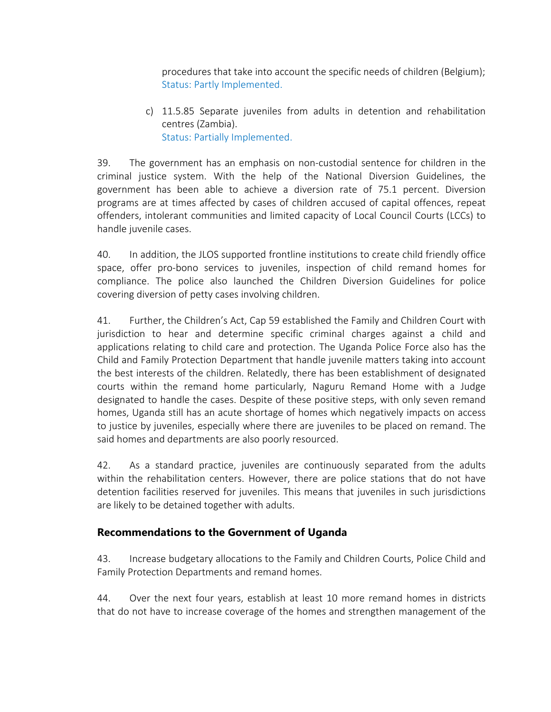procedures that take into account the specific needs of children (Belgium); Status: Partly Implemented.

c) 11.5.85 Separate juveniles from adults in detention and rehabilitation centres (Zambia). Status: Partially Implemented.

39. The government has an emphasis on non-custodial sentence for children in the criminal justice system. With the help of the National Diversion Guidelines, the government has been able to achieve <sup>a</sup> diversion rate of 75.1 percent. Diversion programs are at times affected by cases of children accused of capital offences, repeat offenders, intolerant communities and limited capacity of Local Council Courts (LCCs) to handle juvenile cases.

40. In addition, the JLOS supported frontline institutions to create child friendly office space, offer pro-bono services to juveniles, inspection of child remand homes for compliance. The police also launched the Children Diversion Guidelines for police covering diversion of petty cases involving children.

41. Further, the Children'<sup>s</sup> Act, Cap 59 established the Family and Children Court with jurisdiction to hear and determine specific criminal charges against <sup>a</sup> child and applications relating to child care and protection. The Uganda Police Force also has the Child and Family Protection Department that handle juvenile matters taking into account the best interests of the children. Relatedly, there has been establishment of designated courts within the remand home particularly, Naguru Remand Home with <sup>a</sup> Judge designated to handle the cases. Despite of these positive steps, with only seven remand homes, Uganda still has an acute shortage of homes which negatively impacts on access to justice by juveniles, especially where there are juveniles to be placed on remand. The said homes and departments are also poorly resourced.

42. As <sup>a</sup> standard practice, juveniles are continuously separated from the adults within the rehabilitation centers. However, there are police stations that do not have detention facilities reserved for juveniles. This means that juveniles in such jurisdictions are likely to be detained together with adults.

### **Recommendations to the Government of Uganda**

43. Increase budgetary allocations to the Family and Children Courts, Police Child and Family Protection Departments and remand homes.

44. Over the next four years, establish at least 10 more remand homes in districts that do not have to increase coverage of the homes and strengthen management of the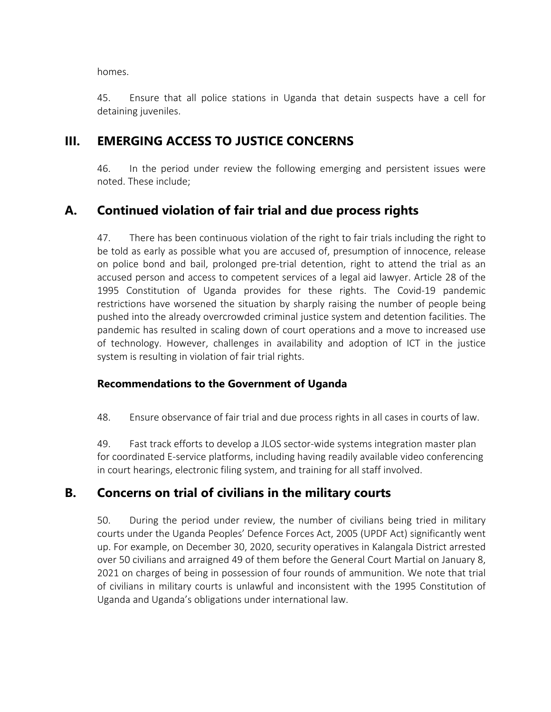homes.

45. Ensure that all police stations in Uganda that detain suspects have <sup>a</sup> cell for detaining juveniles.

## **III. EMERGING ACCESS TO JUSTICE CONCERNS**

46. In the period under review the following emerging and persistent issues were noted. These include;

# **A. Continued violation of fair trial and due process rights**

47. There has been continuous violation of the right to fair trials including the right to be told as early as possible what you are accused of, presumption of innocence, release on police bond and bail, prolonged pre-trial detention, right to attend the trial as an accused person and access to competent services of <sup>a</sup> legal aid lawyer. Article 28 of the 1995 Constitution of Uganda provides for these rights. The Covid-19 pandemic restrictions have worsened the situation by sharply raising the number of people being pushed into the already overcrowded criminal justice system and detention facilities. The pandemic has resulted in scaling down of court operations and <sup>a</sup> move to increased use of technology. However, challenges in availability and adoption of ICT in the justice system is resulting in violation of fair trial rights.

### **Recommendations to the Government of Uganda**

48. Ensure observance of fair trial and due process rights in all cases in courts of law.

49. Fast track efforts to develop <sup>a</sup> JLOS sector-wide systems integration master plan for coordinated E-service platforms, including having readily available video conferencing in court hearings, electronic filing system, and training for all staff involved.

# **B. Concerns on trial of civilians in the military courts**

50. During the period under review, the number of civilians being tried in military courts under the Uganda Peoples' Defence Forces Act, 2005 (UPDF Act) significantly went up. For example, on December 30, 2020, security operatives in Kalangala District arrested over 50 civilians and arraigned 49 of them before the General Court Martial on January 8, 2021 on charges of being in possession of four rounds of ammunition. We note that trial of civilians in military courts is unlawful and inconsistent with the 1995 Constitution of Uganda and Uganda'<sup>s</sup> obligations under international law.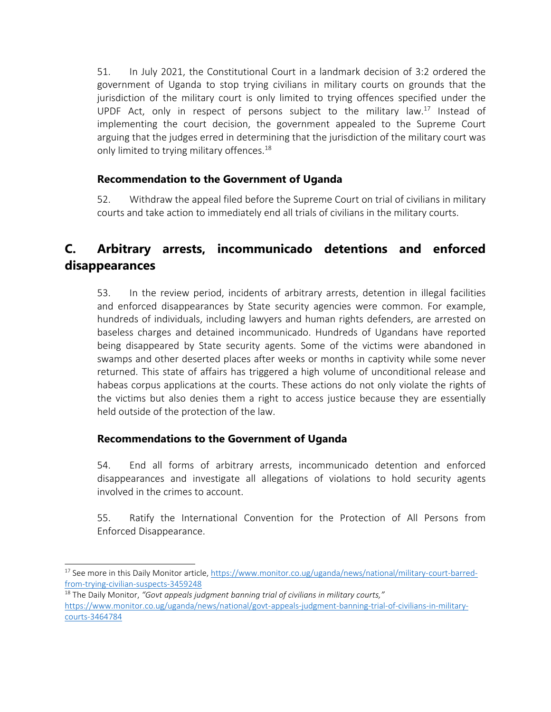51. In July 2021, the Constitutional Court in <sup>a</sup> landmark decision of 3:2 ordered the government of Uganda to stop trying civilians in military courts on grounds that the jurisdiction of the military court is only limited to trying offences specified under the UPDF Act, only in respect of persons subject to the military law.<sup>17</sup> Instead of implementing the court decision, the government appealed to the Supreme Court arguing that the judges erred in determining that the jurisdiction of the military court was only limited to trying military offences.<sup>18</sup>

### **Recommendation to the Government of Uganda**

52. Withdraw the appeal filed before the Supreme Court on trial of civilians in military courts and take action to immediately end all trials of civilians in the military courts.

# **C. Arbitrary arrests, incommunicado detentions and enforced disappearances**

53. In the review period, incidents of arbitrary arrests, detention in illegal facilities and enforced disappearances by State security agencies were common. For example, hundreds of individuals, including lawyers and human rights defenders, are arrested on baseless charges and detained incommunicado. Hundreds of Ugandans have reported being disappeared by State security agents. Some of the victims were abandoned in swamps and other deserted places after weeks or months in captivity while some never returned. This state of affairs has triggered <sup>a</sup> high volume of unconditional release and habeas corpus applications at the courts. These actions do not only violate the rights of the victims but also denies them <sup>a</sup> right to access justice because they are essentially held outside of the protection of the law.

## **Recommendations to the Government of Uganda**

54. End all forms of arbitrary arrests, incommunicado detention and enforced disappearances and investigate all allegations of violations to hold security agents involved in the crimes to account.

55. Ratify the International Convention for the Protection of All Persons from Enforced Disappearance.

<sup>&</sup>lt;sup>17</sup> See more in this Daily Monitor article, <u>https://www.monitor.co.ug/uganda/news/national/military-court-barred-</u> [from-trying-civilian-suspects-3459248](https://www.monitor.co.ug/uganda/news/national/military-court-barred-from-trying-civilian-suspects-3459248)

<sup>18</sup> The Daily Monitor, *"Govt appeals judgment banning trial of civilians in military courts,"* [https://www.monitor.co.ug/uganda/news/national/govt-appeals-judgment-banning-trial-of-civilians-in-military](https://www.monitor.co.ug/uganda/news/national/govt-appeals-judgment-banning-trial-of-civilians-in-military-courts-3464784)[courts-3464784](https://www.monitor.co.ug/uganda/news/national/govt-appeals-judgment-banning-trial-of-civilians-in-military-courts-3464784)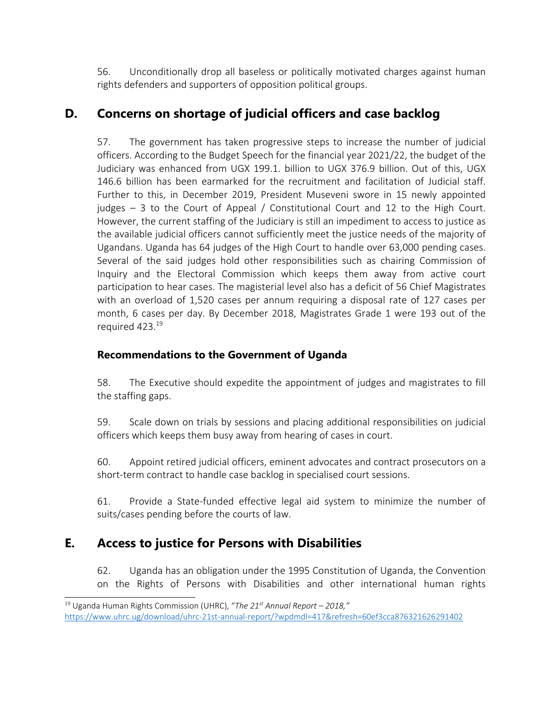56. Unconditionally drop all baseless or politically motivated charges against human rights defenders and supporters of opposition political groups.

# **D. Concerns on shortage of judicial officers and case backlog**

57. The government has taken progressive steps to increase the number of judicial officers. According to the Budget Speech for the financial year 2021/22, the budget of the Judiciary was enhanced from UGX 199.1. billion to UGX 376.9 billion. Out of this, UGX 146.6 billion has been earmarked for the recruitment and facilitation of Judicial staff. Further to this, in December 2019, President Museveni swore in 15 newly appointed judges – 3 to the Court of Appeal / Constitutional Court and 12 to the High Court. However, the current staffing of the Judiciary is still an impediment to access to justice as the available judicial officers cannot sufficiently meet the justice needs of the majority of Ugandans. Uganda has 64 judges of the High Court to handle over 63,000 pending cases. Several of the said judges hold other responsibilities such as chairing Commission of Inquiry and the Electoral Commission which keeps them away from active court participation to hear cases. The magisterial level also has <sup>a</sup> deficit of 56 Chief Magistrates with an overload of 1,520 cases per annum requiring <sup>a</sup> disposal rate of 127 cases per month, 6 cases per day. By December 2018, Magistrates Grade 1 were 193 out of the required 423. 19

### **Recommendations to the Government of Uganda**

58. The Executive should expedite the appointment of judges and magistrates to fill the staffing gaps.

59. Scale down on trials by sessions and placing additional responsibilities on judicial officers which keeps them busy away from hearing of cases in court.

60. Appoint retired judicial officers, eminent advocates and contract prosecutors on <sup>a</sup> short-term contract to handle case backlog in specialised court sessions.

61. Provide <sup>a</sup> State-funded effective legal aid system to minimize the number of suits/cases pending before the courts of law.

# **E. Access to justice for Persons with Disabilities**

62. Uganda has an obligation under the 1995 Constitution of Uganda, the Convention on the Rights of Persons with Disabilities and other international human rights

<sup>19</sup> Uganda Human Rights Commission (UHRC), "*The 21st Annual Report – 2018,"* <https://www.uhrc.ug/download/uhrc-21st-annual-report/?wpdmdl=417&refresh=60ef3cca876321626291402>